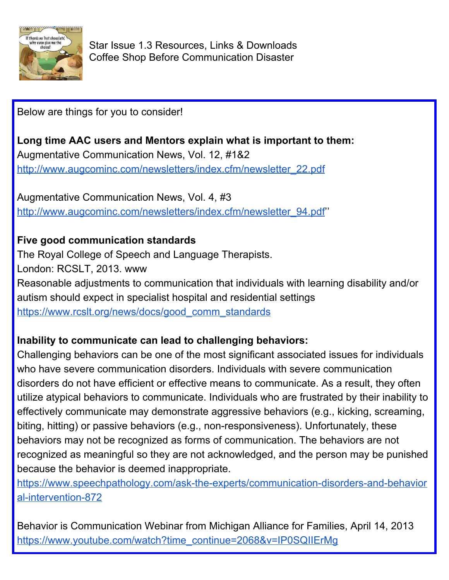

Star Issue 1.3 Resources, Links & Downloads Coffee Shop Before Communication Disaster

Below are things for you to consider!

**Long time AAC users and Mentors explain what is important to them:** Augmentative Communication News, Vol. 12, #1&2 [http://www.augcominc.com/newsletters/index.cfm/newsletter\\_22.pdf](http://www.augcominc.com/newsletters/index.cfm/newsletter_22.pdf)

Augmentative Communication News, Vol. 4, #3 [http://www.augcominc.com/newsletters/index.cfm/newsletter\\_94.pdf](http://www.augcominc.com/newsletters/index.cfm/newsletter_94.pdf)"

## **Five good communication standards**

The Royal College of Speech and Language Therapists. London: RCSLT, 2013. www Reasonable adjustments to communication that individuals with learning disability and/or autism should expect in specialist hospital and residential settings [https://www.rcslt.org/news/docs/good\\_comm\\_standards](https://www.rcslt.org/news/docs/good_comm_standards)

## **Inability to communicate can lead to challenging behaviors:**

Challenging behaviors can be one of the most significant associated issues for individuals who have severe communication disorders. Individuals with severe communication disorders do not have efficient or effective means to communicate. As a result, they often utilize atypical behaviors to communicate. Individuals who are frustrated by their inability to effectively communicate may demonstrate aggressive behaviors (e.g., kicking, screaming, biting, hitting) or passive behaviors (e.g., non-responsiveness). Unfortunately, these behaviors may not be recognized as forms of communication. The behaviors are not recognized as meaningful so they are not acknowledged, and the person may be punished because the behavior is deemed inappropriate.

[https://www.speechpathology.com/ask-the-experts/communication-disorders-and-behavior](https://www.speechpathology.com/ask-the-experts/communication-disorders-and-behavioral-intervention-872) [al-intervention-872](https://www.speechpathology.com/ask-the-experts/communication-disorders-and-behavioral-intervention-872)

Behavior is Communication Webinar from Michigan Alliance for Families, April 14, 2013 [https://www.youtube.com/watch?time\\_continue=2068&v=IP0SQIIErMg](https://www.youtube.com/watch?time_continue=2068&v=IP0SQIIErMg)